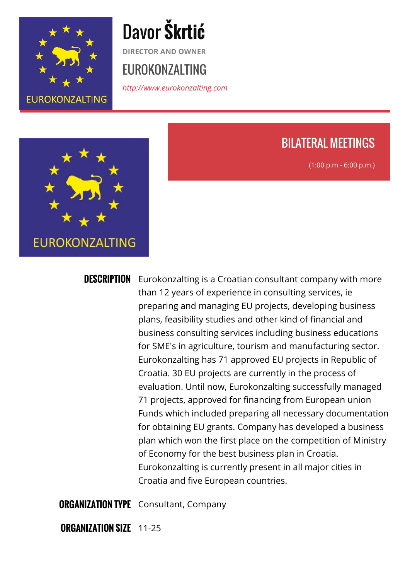

# Davor **Škrtić**

**DIRECTOR AND OWNER**

### EUROKONZALTING

*<http://www.eurokonzalting.com>*



### BILATERAL MEETINGS

(1:00 p.m - 6:00 p.m.)

**DESCRIPTION** Eurokonzalting is a Croatian consultant company with more than 12 years of experience in consulting services, ie preparing and managing EU projects, developing business plans, feasibility studies and other kind of financial and business consulting services including business educations for SME's in agriculture, tourism and manufacturing sector. Eurokonzalting has 71 approved EU projects in Republic of Croatia. 30 EU projects are currently in the process of evaluation. Until now, Eurokonzalting successfully managed 71 projects, approved for financing from European union Funds which included preparing all necessary documentation for obtaining EU grants. Company has developed a business plan which won the first place on the competition of Ministry of Economy for the best business plan in Croatia. Eurokonzalting is currently present in all major cities in Croatia and five European countries.

**ORGANIZATION TYPE** Consultant, Company

**ORGANIZATION SIZE** 11-25